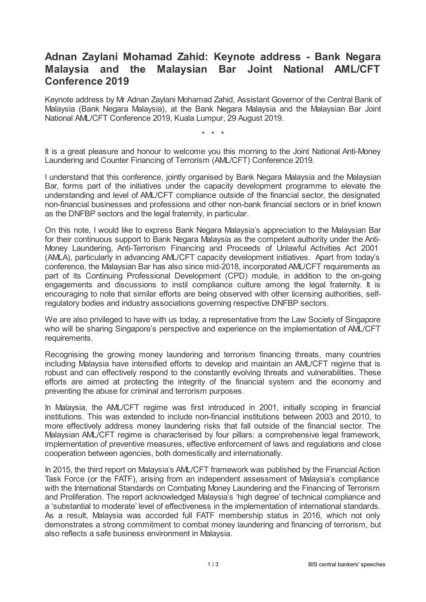## **Adnan Zaylani Mohamad Zahid: Keynote address - Bank Negara Malaysia and the Malaysian Bar Joint National AML/CFT Conference 2019**

Keynote address by Mr Adnan Zaylani Mohamad Zahid, Assistant Governor of the Central Bank of Malaysia (Bank Negara Malaysia), at the Bank Negara Malaysia and the Malaysian Bar Joint National AML/CFT Conference 2019, Kuala Lumpur, 29 August 2019.

\* \* \*

It is a great pleasure and honour to welcome you this morning to the Joint National Anti-Money Laundering and Counter Financing of Terrorism (AML/CFT) Conference 2019.

I understand that this conference, jointly organised by Bank Negara Malaysia and the Malaysian Bar, forms part of the initiatives under the capacity development programme to elevate the understanding and level of AML/CFT compliance outside of the financial sector, the designated non-financial businesses and professions and other non-bank financial sectors or in brief known as the DNFBP sectors and the legal fraternity, in particular.

On this note, I would like to express Bank Negara Malaysia's appreciation to the Malaysian Bar for their continuous support to Bank Negara Malaysia as the competent authority under the Anti-Money Laundering, Anti-Terrorism Financing and Proceeds of Unlawful Activities Act 2001 (AMLA), particularly in advancing AML/CFT capacity development initiatives. Apart from today's conference, the Malaysian Bar has also since mid-2018, incorporated AML/CFT requirements as part of its Continuing Professional Development (CPD) module, in addition to the on-going engagements and discussions to instil compliance culture among the legal fraternity. It is encouraging to note that similar efforts are being observed with other licensing authorities, selfregulatory bodies and industry associations governing respective DNFBP sectors.

We are also privileged to have with us today, a representative from the Law Society of Singapore who will be sharing Singapore's perspective and experience on the implementation of AML/CFT requirements.

Recognising the growing money laundering and terrorism financing threats, many countries including Malaysia have intensified efforts to develop and maintain an AML/CFT regime that is robust and can effectively respond to the constantly evolving threats and vulnerabilities. These efforts are aimed at protecting the integrity of the financial system and the economy and preventing the abuse for criminal and terrorism purposes.

In Malaysia, the AML/CFT regime was first introduced in 2001, initially scoping in financial institutions. This was extended to include non-financial institutions between 2003 and 2010, to more effectively address money laundering risks that fall outside of the financial sector. The Malaysian AML/CFT regime is characterised by four pillars: a comprehensive legal framework, implementation of preventive measures, effective enforcement of laws and regulations and close cooperation between agencies, both domestically and internationally.

In 2015, the third report on Malaysia's AML/CFT framework was published by the Financial Action Task Force (or the FATF), arising from an independent assessment of Malaysia's compliance with the International Standards on Combating Money Laundering and the Financing of Terrorism and Proliferation. The report acknowledged Malaysia's 'high degree' of technical compliance and a 'substantial to moderate' level of effectiveness in the implementation of international standards. As a result, Malaysia was accorded full FATF membership status in 2016, which not only demonstrates a strong commitment to combat money laundering and financing of terrorism, but also reflects a safe business environment in Malaysia.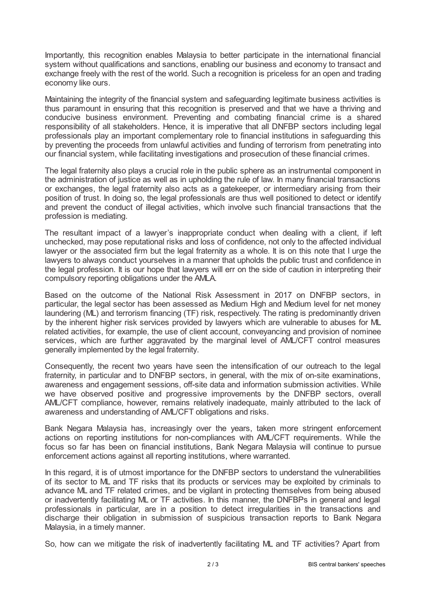Importantly, this recognition enables Malaysia to better participate in the international financial system without qualifications and sanctions, enabling our business and economy to transact and exchange freely with the rest of the world. Such a recognition is priceless for an open and trading economy like ours.

Maintaining the integrity of the financial system and safeguarding legitimate business activities is thus paramount in ensuring that this recognition is preserved and that we have a thriving and conducive business environment. Preventing and combating financial crime is a shared responsibility of all stakeholders. Hence, it is imperative that all DNFBP sectors including legal professionals play an important complementary role to financial institutions in safeguarding this by preventing the proceeds from unlawful activities and funding of terrorism from penetrating into our financial system, while facilitating investigations and prosecution of these financial crimes.

The legal fraternity also plays a crucial role in the public sphere as an instrumental component in the administration of justice as well as in upholding the rule of law. In many financial transactions or exchanges, the legal fraternity also acts as a gatekeeper, or intermediary arising from their position of trust. In doing so, the legal professionals are thus well positioned to detect or identify and prevent the conduct of illegal activities, which involve such financial transactions that the profession is mediating.

The resultant impact of a lawyer's inappropriate conduct when dealing with a client, if left unchecked, may pose reputational risks and loss of confidence, not only to the affected individual lawyer or the associated firm but the legal fraternity as a whole. It is on this note that I urge the lawyers to always conduct yourselves in a manner that upholds the public trust and confidence in the legal profession. It is our hope that lawyers will err on the side of caution in interpreting their compulsory reporting obligations under the AMLA.

Based on the outcome of the National Risk Assessment in 2017 on DNFBP sectors, in particular, the legal sector has been assessed as Medium High and Medium level for net money laundering (ML) and terrorism financing (TF) risk, respectively. The rating is predominantly driven by the inherent higher risk services provided by lawyers which are vulnerable to abuses for ML related activities, for example, the use of client account, conveyancing and provision of nominee services, which are further aggravated by the marginal level of AML/CFT control measures generally implemented by the legal fraternity.

Consequently, the recent two years have seen the intensification of our outreach to the legal fraternity, in particular and to DNFBP sectors, in general, with the mix of on-site examinations, awareness and engagement sessions, off-site data and information submission activities. While we have observed positive and progressive improvements by the DNFBP sectors, overall AML/CFT compliance, however, remains relatively inadequate, mainly attributed to the lack of awareness and understanding of AML/CFT obligations and risks.

Bank Negara Malaysia has, increasingly over the years, taken more stringent enforcement actions on reporting institutions for non-compliances with AML/CFT requirements. While the focus so far has been on financial institutions, Bank Negara Malaysia will continue to pursue enforcement actions against all reporting institutions, where warranted.

In this regard, it is of utmost importance for the DNFBP sectors to understand the vulnerabilities of its sector to ML and TF risks that its products or services may be exploited by criminals to advance ML and TF related crimes, and be vigilant in protecting themselves from being abused or inadvertently facilitating ML or TF activities. In this manner, the DNFBPs in general and legal professionals in particular, are in a position to detect irregularities in the transactions and discharge their obligation in submission of suspicious transaction reports to Bank Negara Malaysia, in a timely manner.

So, how can we mitigate the risk of inadvertently facilitating ML and TF activities? Apart from